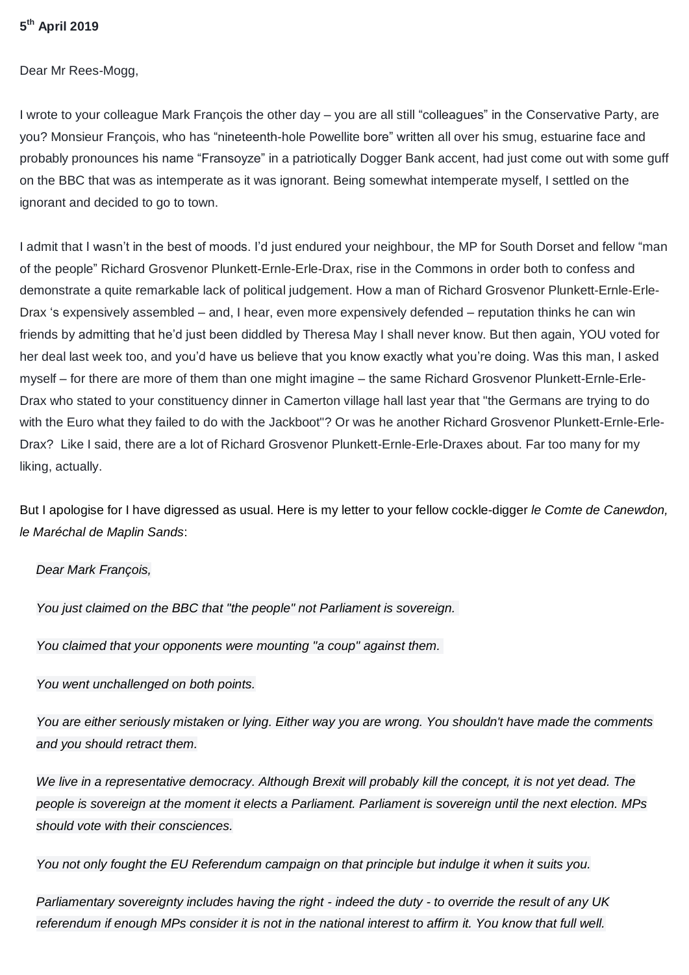#### **5 th April 2019**

Dear Mr Rees-Mogg,

I wrote to your colleague Mark François the other day – you are all still "colleagues" in the Conservative Party, are you? Monsieur François, who has "nineteenth-hole Powellite bore" written all over his smug, estuarine face and probably pronounces his name "Fransoyze" in a patriotically Dogger Bank accent, had just come out with some guff on the BBC that was as intemperate as it was ignorant. Being somewhat intemperate myself, I settled on the ignorant and decided to go to town.

I admit that I wasn't in the best of moods. I'd just endured your neighbour, the MP for South Dorset and fellow "man of the people" Richard Grosvenor Plunkett-Ernle-Erle-Drax, rise in the Commons in order both to confess and demonstrate a quite remarkable lack of political judgement. How a man of Richard Grosvenor Plunkett-Ernle-Erle-Drax 's expensively assembled – and, I hear, even more expensively defended – reputation thinks he can win friends by admitting that he'd just been diddled by Theresa May I shall never know. But then again, YOU voted for her deal last week too, and you'd have us believe that you know exactly what you're doing. Was this man, I asked myself – for there are more of them than one might imagine – the same Richard Grosvenor Plunkett-Ernle-Erle-Drax who stated to your constituency dinner in Camerton village hall last year that "the Germans are trying to do with the Euro what they failed to do with the Jackboot"? Or was he another Richard Grosvenor Plunkett-Ernle-Erle-Drax? Like I said, there are a lot of Richard Grosvenor Plunkett-Ernle-Erle-Draxes about. Far too many for my liking, actually.

But I apologise for I have digressed as usual. Here is my letter to your fellow cockle-digger *le Comte de Canewdon, le Maréchal de Maplin Sands*:

#### *Dear Mark François,*

*You just claimed on the BBC that "the people" not Parliament is sovereign.*

*You claimed that your opponents were mounting "a coup" against them.*

#### *You went unchallenged on both points.*

*You are either seriously mistaken or lying. Either way you are wrong. You shouldn't have made the comments and you should retract them.*

We live in a representative democracy. Although Brexit will probably kill the concept, it is not yet dead. The *people is sovereign at the moment it elects a Parliament. Parliament is sovereign until the next election. MPs should vote with their consciences.*

*You not only fought the EU Referendum campaign on that principle but indulge it when it suits you.*

*Parliamentary sovereignty includes having the right - indeed the duty - to override the result of any UK referendum if enough MPs consider it is not in the national interest to affirm it. You know that full well.*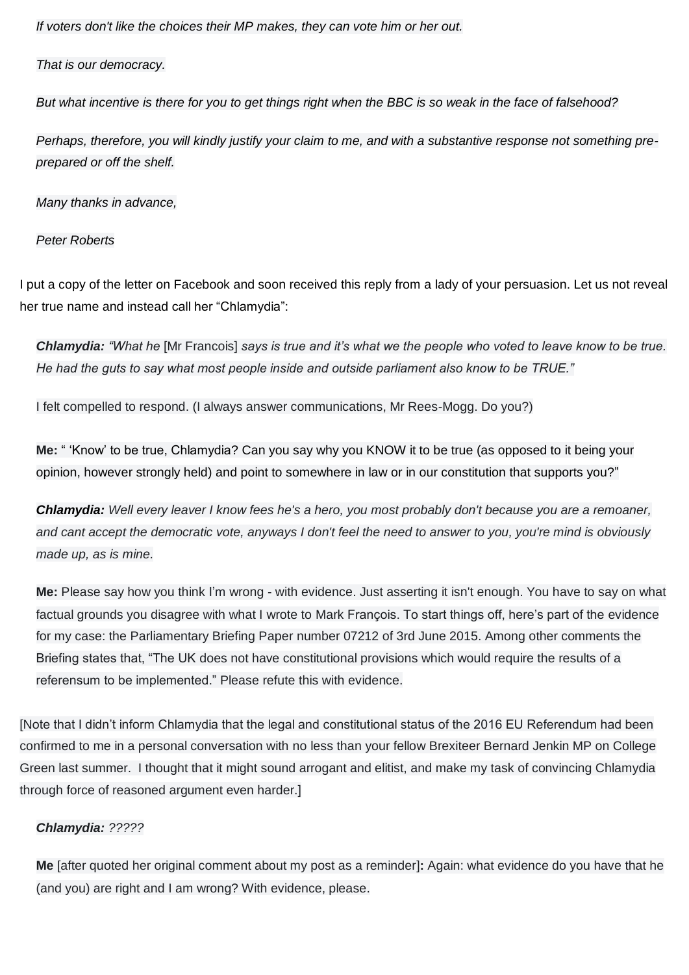*If voters don't like the choices their MP makes, they can vote him or her out.*

*That is our democracy.*

*But what incentive is there for you to get things right when the BBC is so weak in the face of falsehood?*

*Perhaps, therefore, you will kindly justify your claim to me, and with a substantive response not something preprepared or off the shelf.*

*Many thanks in advance,*

*Peter Roberts*

I put a copy of the letter on Facebook and soon received this reply from a lady of your persuasion. Let us not reveal her true name and instead call her "Chlamydia":

*Chlamydia: "What he* [Mr Francois] *says is true and it's what we the people who voted to leave know to be true. He had the guts to say what most people inside and outside parliament also know to be TRUE."*

I felt compelled to respond. (I always answer communications, Mr Rees-Mogg. Do you?)

**Me:** " 'Know' to be true, Chlamydia? Can you say why you KNOW it to be true (as opposed to it being your opinion, however strongly held) and point to somewhere in law or in our constitution that supports you?"

*Chlamydia: Well every leaver I know fees he's a hero, you most probably don't because you are a remoaner, and cant accept the democratic vote, anyways I don't feel the need to answer to you, you're mind is obviously made up, as is mine.*

**Me:** Please say how you think I'm wrong - with evidence. Just asserting it isn't enough. You have to say on what factual grounds you disagree with what I wrote to Mark François. To start things off, here's part of the evidence for my case: the Parliamentary Briefing Paper number 07212 of 3rd June 2015. Among other comments the Briefing states that, "The UK does not have constitutional provisions which would require the results of a referensum to be implemented." Please refute this with evidence.

[Note that I didn't inform Chlamydia that the legal and constitutional status of the 2016 EU Referendum had been confirmed to me in a personal conversation with no less than your fellow Brexiteer Bernard Jenkin MP on College Green last summer. I thought that it might sound arrogant and elitist, and make my task of convincing Chlamydia through force of reasoned argument even harder.]

# *Chlamydia: ?????*

**Me** [after quoted her original comment about my post as a reminder]**:** Again: what evidence do you have that he (and you) are right and I am wrong? With evidence, please.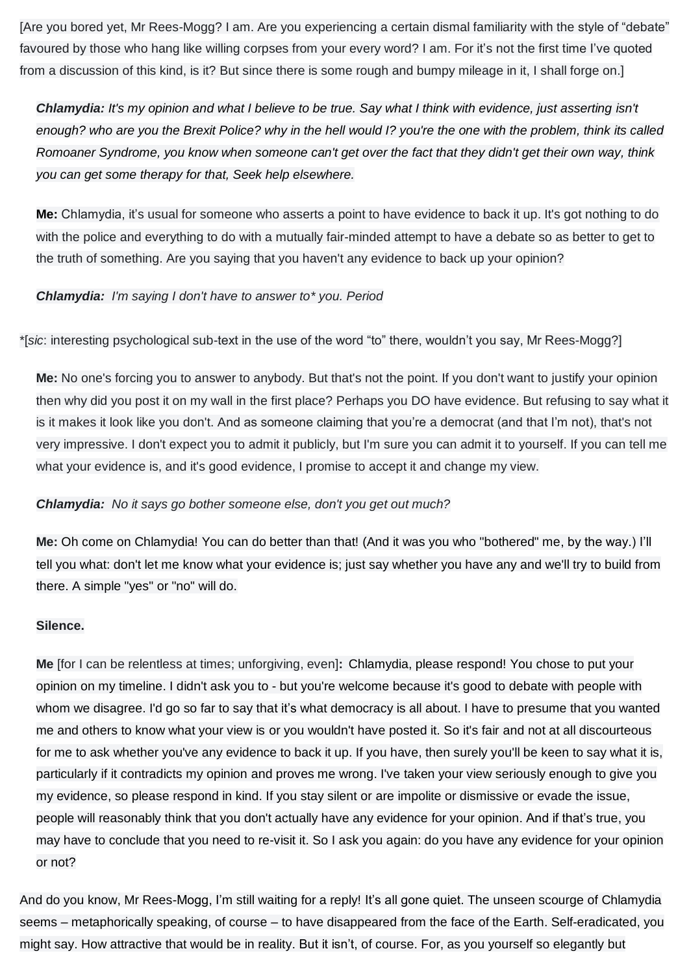[Are you bored yet, Mr Rees-Mogg? I am. Are you experiencing a certain dismal familiarity with the style of "debate" favoured by those who hang like willing corpses from your every word? I am. For it's not the first time I've quoted from a discussion of this kind, is it? But since there is some rough and bumpy mileage in it, I shall forge on.]

*Chlamydia: It's my opinion and what I believe to be true. Say what I think with evidence, just asserting isn't enough? who are you the Brexit Police? why in the hell would I? you're the one with the problem, think its called Romoaner Syndrome, you know when someone can't get over the fact that they didn't get their own way, think you can get some therapy for that, Seek help elsewhere.*

**Me:** Chlamydia, it's usual for someone who asserts a point to have evidence to back it up. It's got nothing to do with the police and everything to do with a mutually fair-minded attempt to have a debate so as better to get to the truth of something. Are you saying that you haven't any evidence to back up your opinion?

*Chlamydia: I'm saying I don't have to answer to\* you. Period*

\*[*sic*: interesting psychological sub-text in the use of the word "to" there, wouldn't you say, Mr Rees-Mogg?]

**Me:** No one's forcing you to answer to anybody. But that's not the point. If you don't want to justify your opinion then why did you post it on my wall in the first place? Perhaps you DO have evidence. But refusing to say what it is it makes it look like you don't. And as someone claiming that you're a democrat (and that I'm not), that's not very impressive. I don't expect you to admit it publicly, but I'm sure you can admit it to yourself. If you can tell me what your evidence is, and it's good evidence, I promise to accept it and change my view.

# *Chlamydia: No it says go bother someone else, don't you get out much?*

**Me:** Oh come on Chlamydia! You can do better than that! (And it was you who "bothered" me, by the way.) I'll tell you what: don't let me know what your evidence is; just say whether you have any and we'll try to build from there. A simple "yes" or "no" will do.

# **Silence.**

**Me** [for I can be relentless at times; unforgiving, even]**:** Chlamydia, please respond! You chose to put your opinion on my timeline. I didn't ask you to - but you're welcome because it's good to debate with people with whom we disagree. I'd go so far to say that it's what democracy is all about. I have to presume that you wanted me and others to know what your view is or you wouldn't have posted it. So it's fair and not at all discourteous for me to ask whether you've any evidence to back it up. If you have, then surely you'll be keen to say what it is, particularly if it contradicts my opinion and proves me wrong. I've taken your view seriously enough to give you my evidence, so please respond in kind. If you stay silent or are impolite or dismissive or evade the issue, people will reasonably think that you don't actually have any evidence for your opinion. And if that's true, you may have to conclude that you need to re-visit it. So I ask you again: do you have any evidence for your opinion or not?

And do you know, Mr Rees-Mogg, I'm still waiting for a reply! It's all gone quiet. The unseen scourge of Chlamydia seems – metaphorically speaking, of course – to have disappeared from the face of the Earth. Self-eradicated, you might say. How attractive that would be in reality. But it isn't, of course. For, as you yourself so elegantly but